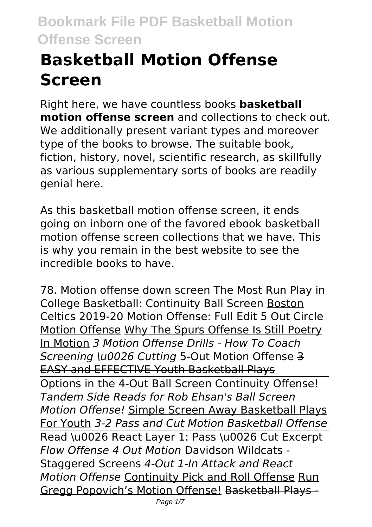# **Basketball Motion Offense Screen**

Right here, we have countless books **basketball motion offense screen** and collections to check out. We additionally present variant types and moreover type of the books to browse. The suitable book, fiction, history, novel, scientific research, as skillfully as various supplementary sorts of books are readily genial here.

As this basketball motion offense screen, it ends going on inborn one of the favored ebook basketball motion offense screen collections that we have. This is why you remain in the best website to see the incredible books to have.

78. Motion offense down screen The Most Run Play in College Basketball: Continuity Ball Screen Boston Celtics 2019-20 Motion Offense: Full Edit 5 Out Circle Motion Offense Why The Spurs Offense Is Still Poetry In Motion *3 Motion Offense Drills - How To Coach Screening \u0026 Cutting* 5-Out Motion Offense 3 EASY and EFFECTIVE Youth Basketball Plays Options in the 4-Out Ball Screen Continuity Offense! *Tandem Side Reads for Rob Ehsan's Ball Screen Motion Offense!* Simple Screen Away Basketball Plays For Youth *3-2 Pass and Cut Motion Basketball Offense* Read \u0026 React Layer 1: Pass \u0026 Cut Excerpt *Flow Offense 4 Out Motion* Davidson Wildcats - Staggered Screens *4-Out 1-In Attack and React Motion Offense* Continuity Pick and Roll Offense Run Gregg Popovich's Motion Offense! Basketball Plays-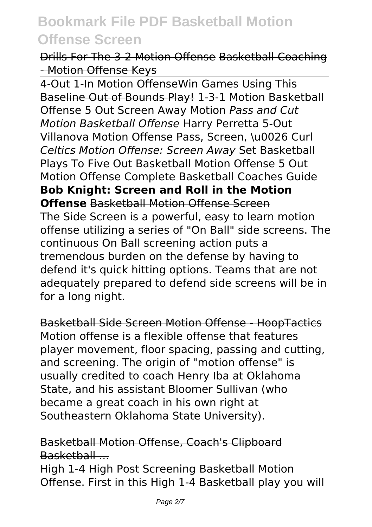Drills For The 3-2 Motion Offense Basketball Coaching - Motion Offense Keys

4-Out 1-In Motion Offense Win Games Using This Baseline Out of Bounds Play! 1-3-1 Motion Basketball Offense 5 Out Screen Away Motion *Pass and Cut Motion Basketball Offense* Harry Perretta 5-Out Villanova Motion Offense Pass, Screen, \u0026 Curl *Celtics Motion Offense: Screen Away* Set Basketball Plays To Five Out Basketball Motion Offense 5 Out Motion Offense Complete Basketball Coaches Guide **Bob Knight: Screen and Roll in the Motion Offense** Basketball Motion Offense Screen The Side Screen is a powerful, easy to learn motion offense utilizing a series of "On Ball" side screens. The continuous On Ball screening action puts a tremendous burden on the defense by having to defend it's quick hitting options. Teams that are not adequately prepared to defend side screens will be in for a long night.

Basketball Side Screen Motion Offense - HoopTactics Motion offense is a flexible offense that features player movement, floor spacing, passing and cutting, and screening. The origin of "motion offense" is usually credited to coach Henry Iba at Oklahoma State, and his assistant Bloomer Sullivan (who became a great coach in his own right at Southeastern Oklahoma State University).

### Basketball Motion Offense, Coach's Clipboard Basketball ...

High 1-4 High Post Screening Basketball Motion Offense. First in this High 1-4 Basketball play you will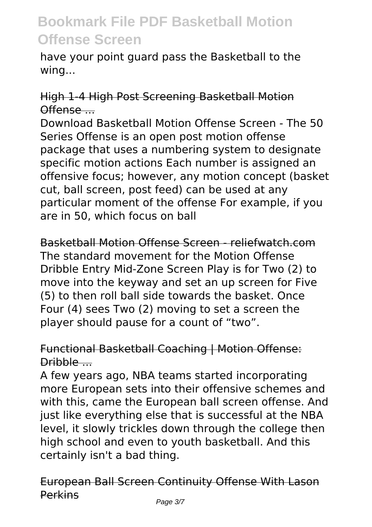have your point guard pass the Basketball to the wing...

### High 1-4 High Post Screening Basketball Motion Offense ...

Download Basketball Motion Offense Screen - The 50 Series Offense is an open post motion offense package that uses a numbering system to designate specific motion actions Each number is assigned an offensive focus; however, any motion concept (basket cut, ball screen, post feed) can be used at any particular moment of the offense For example, if you are in 50, which focus on ball

Basketball Motion Offense Screen - reliefwatch.com The standard movement for the Motion Offense Dribble Entry Mid-Zone Screen Play is for Two (2) to move into the keyway and set an up screen for Five (5) to then roll ball side towards the basket. Once Four (4) sees Two (2) moving to set a screen the player should pause for a count of "two".

### Functional Basketball Coaching | Motion Offense: Dribble ...

A few years ago, NBA teams started incorporating more European sets into their offensive schemes and with this, came the European ball screen offense. And just like everything else that is successful at the NBA level, it slowly trickles down through the college then high school and even to youth basketball. And this certainly isn't a bad thing.

### European Ball Screen Continuity Offense With Lason Perkins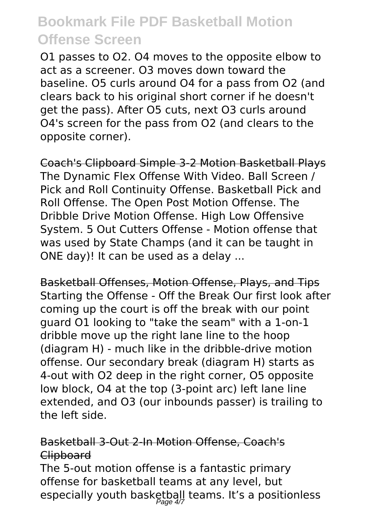O1 passes to O2. O4 moves to the opposite elbow to act as a screener. O3 moves down toward the baseline. O5 curls around O4 for a pass from O2 (and clears back to his original short corner if he doesn't get the pass). After O5 cuts, next O3 curls around O4's screen for the pass from O2 (and clears to the opposite corner).

Coach's Clipboard Simple 3-2 Motion Basketball Plays The Dynamic Flex Offense With Video. Ball Screen / Pick and Roll Continuity Offense. Basketball Pick and Roll Offense. The Open Post Motion Offense. The Dribble Drive Motion Offense. High Low Offensive System. 5 Out Cutters Offense - Motion offense that was used by State Champs (and it can be taught in ONE day)! It can be used as a delay ...

Basketball Offenses, Motion Offense, Plays, and Tips Starting the Offense - Off the Break Our first look after coming up the court is off the break with our point guard O1 looking to "take the seam" with a 1-on-1 dribble move up the right lane line to the hoop (diagram H) - much like in the dribble-drive motion offense. Our secondary break (diagram H) starts as 4-out with O2 deep in the right corner, O5 opposite low block, O4 at the top (3-point arc) left lane line extended, and O3 (our inbounds passer) is trailing to the left side.

### Basketball 3-Out 2-In Motion Offense, Coach's **Clipboard**

The 5-out motion offense is a fantastic primary offense for basketball teams at any level, but especially youth basketball teams. It's a positionless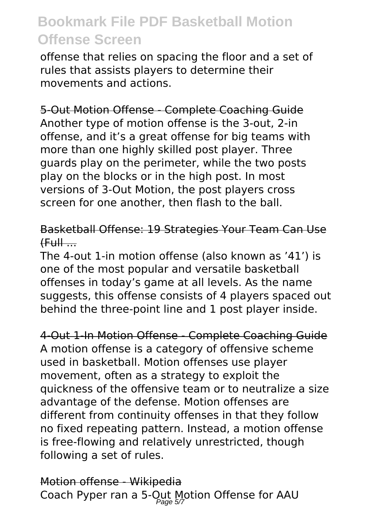offense that relies on spacing the floor and a set of rules that assists players to determine their movements and actions.

5-Out Motion Offense - Complete Coaching Guide Another type of motion offense is the 3-out, 2-in offense, and it's a great offense for big teams with more than one highly skilled post player. Three guards play on the perimeter, while the two posts play on the blocks or in the high post. In most versions of 3-Out Motion, the post players cross screen for one another, then flash to the ball.

### Basketball Offense: 19 Strategies Your Team Can Use  $(FuH...$

The 4-out 1-in motion offense (also known as '41') is one of the most popular and versatile basketball offenses in today's game at all levels. As the name suggests, this offense consists of 4 players spaced out behind the three-point line and 1 post player inside.

4-Out 1-In Motion Offense - Complete Coaching Guide A motion offense is a category of offensive scheme used in basketball. Motion offenses use player movement, often as a strategy to exploit the quickness of the offensive team or to neutralize a size advantage of the defense. Motion offenses are different from continuity offenses in that they follow no fixed repeating pattern. Instead, a motion offense is free-flowing and relatively unrestricted, though following a set of rules.

Motion offense - Wikipedia Coach Pyper ran a 5-Out Motion Offense for AAU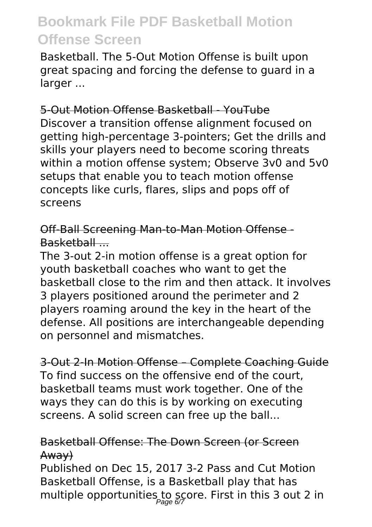Basketball. The 5-Out Motion Offense is built upon great spacing and forcing the defense to guard in a larger ...

5-Out Motion Offense Basketball - YouTube Discover a transition offense alignment focused on getting high-percentage 3-pointers; Get the drills and skills your players need to become scoring threats within a motion offense system; Observe 3v0 and 5v0 setups that enable you to teach motion offense concepts like curls, flares, slips and pops off of screens

Off-Ball Screening Man-to-Man Motion Offense - Basketball ...

The 3-out 2-in motion offense is a great option for youth basketball coaches who want to get the basketball close to the rim and then attack. It involves 3 players positioned around the perimeter and 2 players roaming around the key in the heart of the defense. All positions are interchangeable depending on personnel and mismatches.

3-Out 2-In Motion Offense – Complete Coaching Guide To find success on the offensive end of the court, basketball teams must work together. One of the ways they can do this is by working on executing screens. A solid screen can free up the ball...

### Basketball Offense: The Down Screen (or Screen Away)

Published on Dec 15, 2017 3-2 Pass and Cut Motion Basketball Offense, is a Basketball play that has multiple opportunities to score. First in this 3 out 2 in